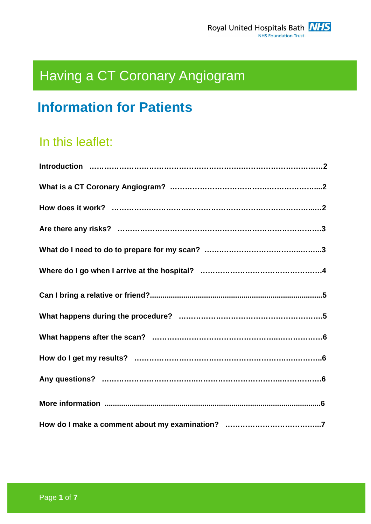# Having a CT Coronary Angiogram

## **Information for Patients**

## In this leaflet: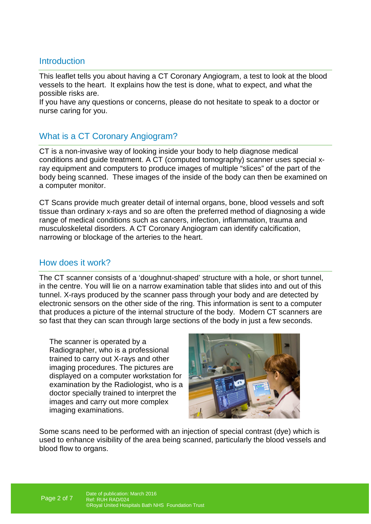### **Introduction**

This leaflet tells you about having a CT Coronary Angiogram, a test to look at the blood vessels to the heart. It explains how the test is done, what to expect, and what the possible risks are.

If you have any questions or concerns, please do not hesitate to speak to a doctor or nurse caring for you.

## What is a CT Coronary Angiogram?

CT is a non-invasive way of looking inside your body to help diagnose medical conditions and guide treatment. A CT (computed tomography) scanner uses special xray equipment and computers to produce images of multiple "slices" of the part of the body being scanned. These images of the inside of the body can then be examined on a computer monitor.

CT Scans provide much greater detail of internal organs, bone, blood vessels and soft tissue than ordinary x-rays and so are often the preferred method of diagnosing a wide range of medical conditions such as cancers, infection, inflammation, trauma and musculoskeletal disorders. A CT Coronary Angiogram can identify calcification, narrowing or blockage of the arteries to the heart.

#### How does it work?

The CT scanner consists of a 'doughnut-shaped' structure with a hole, or short tunnel, in the centre. You will lie on a narrow examination table that slides into and out of this tunnel. X-rays produced by the scanner pass through your body and are detected by electronic sensors on the other side of the ring. This information is sent to a computer that produces a picture of the internal structure of the body. Modern CT scanners are so fast that they can scan through large sections of the body in just a few seconds.

The scanner is operated by a Radiographer, who is a professional trained to carry out X-rays and other imaging procedures. The pictures are displayed on a computer workstation for examination by the Radiologist, who is a doctor specially trained to interpret the images and carry out more complex imaging examinations.



Some scans need to be performed with an injection of special contrast (dye) which is used to enhance visibility of the area being scanned, particularly the blood vessels and blood flow to organs.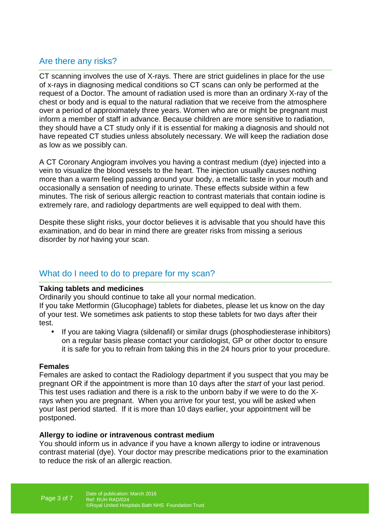## Are there any risks?

CT scanning involves the use of X-rays. There are strict guidelines in place for the use of x-rays in diagnosing medical conditions so CT scans can only be performed at the request of a Doctor. The amount of radiation used is more than an ordinary X-ray of the chest or body and is equal to the natural radiation that we receive from the atmosphere over a period of approximately three years. Women who are or might be pregnant must inform a member of staff in advance. Because children are more sensitive to radiation, they should have a CT study only if it is essential for making a diagnosis and should not have repeated CT studies unless absolutely necessary. We will keep the radiation dose as low as we possibly can.

A CT Coronary Angiogram involves you having a contrast medium (dye) injected into a vein to visualize the blood vessels to the heart. The injection usually causes nothing more than a warm feeling passing around your body, a metallic taste in your mouth and occasionally a sensation of needing to urinate. These effects subside within a few minutes. The risk of serious allergic reaction to contrast materials that contain iodine is extremely rare, and radiology departments are well equipped to deal with them.

Despite these slight risks, your doctor believes it is advisable that you should have this examination, and do bear in mind there are greater risks from missing a serious disorder by not having your scan.

## What do I need to do to prepare for my scan?

#### **Taking tablets and medicines**

Ordinarily you should continue to take all your normal medication.

If you take Metformin (Glucophage) tablets for diabetes, please let us know on the day of your test. We sometimes ask patients to stop these tablets for two days after their test.

• If you are taking Viagra (sildenafil) or similar drugs (phosphodiesterase inhibitors) on a regular basis please contact your cardiologist, GP or other doctor to ensure it is safe for you to refrain from taking this in the 24 hours prior to your procedure.

#### **Females**

Females are asked to contact the Radiology department if you suspect that you may be pregnant OR if the appointment is more than 10 days after the start of your last period. This test uses radiation and there is a risk to the unborn baby if we were to do the Xrays when you are pregnant. When you arrive for your test, you will be asked when your last period started. If it is more than 10 days earlier, your appointment will be postponed.

#### **Allergy to iodine or intravenous contrast medium**

You should inform us in advance if you have a known allergy to iodine or intravenous contrast material (dye). Your doctor may prescribe medications prior to the examination to reduce the risk of an allergic reaction.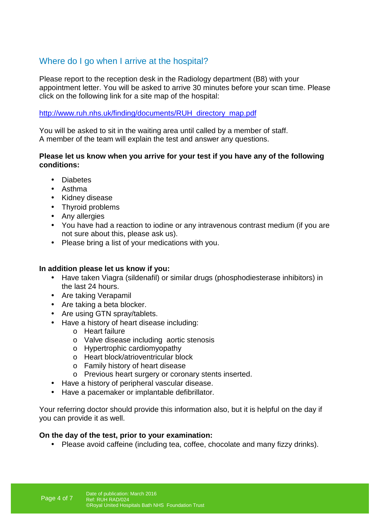## Where do I go when I arrive at the hospital?

Please report to the reception desk in the Radiology department (B8) with your appointment letter. You will be asked to arrive 30 minutes before your scan time. Please click on the following link for a site map of the hospital:

#### http://www.ruh.nhs.uk/finding/documents/RUH\_directory\_map.pdf

You will be asked to sit in the waiting area until called by a member of staff. A member of the team will explain the test and answer any questions.

#### **Please let us know when you arrive for your test if you have any of the following conditions:**

- Diabetes
- Asthma
- Kidney disease
- Thyroid problems
- Any allergies
- You have had a reaction to iodine or any intravenous contrast medium (if you are not sure about this, please ask us).
- Please bring a list of your medications with you.

#### **In addition please let us know if you:**

- Have taken Viagra (sildenafil) or similar drugs (phosphodiesterase inhibitors) in the last 24 hours.
- Are taking Verapamil
- Are taking a beta blocker.
- Are using GTN spray/tablets.
- Have a history of heart disease including:
	- o Heart failure
	- o Valve disease including aortic stenosis
	- o Hypertrophic cardiomyopathy
	- o Heart block/atrioventricular block
	- o Family history of heart disease
	- o Previous heart surgery or coronary stents inserted.
- Have a history of peripheral vascular disease.
- Have a pacemaker or implantable defibrillator.

Your referring doctor should provide this information also, but it is helpful on the day if you can provide it as well.

#### **On the day of the test, prior to your examination:**

• Please avoid caffeine (including tea, coffee, chocolate and many fizzy drinks).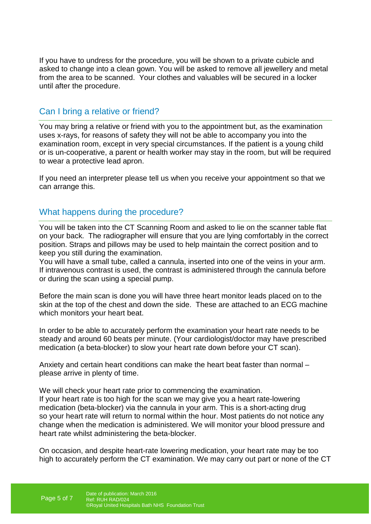If you have to undress for the procedure, you will be shown to a private cubicle and asked to change into a clean gown. You will be asked to remove all jewellery and metal from the area to be scanned. Your clothes and valuables will be secured in a locker until after the procedure.

### Can I bring a relative or friend?

You may bring a relative or friend with you to the appointment but, as the examination uses x-rays, for reasons of safety they will not be able to accompany you into the examination room, except in very special circumstances. If the patient is a young child or is un-cooperative, a parent or health worker may stay in the room, but will be required to wear a protective lead apron.

If you need an interpreter please tell us when you receive your appointment so that we can arrange this.

#### What happens during the procedure?

You will be taken into the CT Scanning Room and asked to lie on the scanner table flat on your back. The radiographer will ensure that you are lying comfortably in the correct position. Straps and pillows may be used to help maintain the correct position and to keep you still during the examination.

You will have a small tube, called a cannula, inserted into one of the veins in your arm. If intravenous contrast is used, the contrast is administered through the cannula before or during the scan using a special pump.

Before the main scan is done you will have three heart monitor leads placed on to the skin at the top of the chest and down the side. These are attached to an ECG machine which monitors your heart beat.

In order to be able to accurately perform the examination your heart rate needs to be steady and around 60 beats per minute. (Your cardiologist/doctor may have prescribed medication (a beta-blocker) to slow your heart rate down before your CT scan).

Anxiety and certain heart conditions can make the heart beat faster than normal – please arrive in plenty of time.

We will check your heart rate prior to commencing the examination. If your heart rate is too high for the scan we may give you a heart rate-lowering medication (beta-blocker) via the cannula in your arm. This is a short-acting drug so your heart rate will return to normal within the hour. Most patients do not notice any change when the medication is administered. We will monitor your blood pressure and heart rate whilst administering the beta-blocker.

On occasion, and despite heart-rate lowering medication, your heart rate may be too high to accurately perform the CT examination. We may carry out part or none of the CT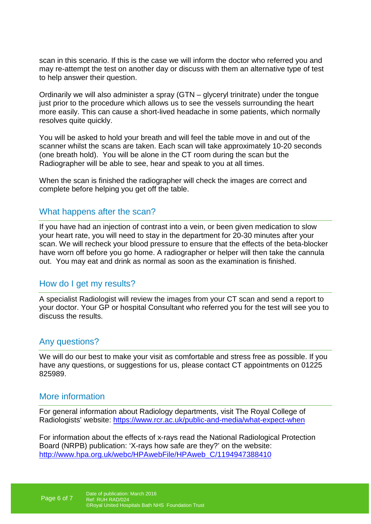scan in this scenario. If this is the case we will inform the doctor who referred you and may re-attempt the test on another day or discuss with them an alternative type of test to help answer their question.

Ordinarily we will also administer a spray (GTN – glyceryl trinitrate) under the tongue just prior to the procedure which allows us to see the vessels surrounding the heart more easily. This can cause a short-lived headache in some patients, which normally resolves quite quickly.

You will be asked to hold your breath and will feel the table move in and out of the scanner whilst the scans are taken. Each scan will take approximately 10-20 seconds (one breath hold). You will be alone in the CT room during the scan but the Radiographer will be able to see, hear and speak to you at all times.

When the scan is finished the radiographer will check the images are correct and complete before helping you get off the table.

#### What happens after the scan?

If you have had an injection of contrast into a vein, or been given medication to slow your heart rate, you will need to stay in the department for 20-30 minutes after your scan. We will recheck your blood pressure to ensure that the effects of the beta-blocker have worn off before you go home. A radiographer or helper will then take the cannula out. You may eat and drink as normal as soon as the examination is finished.

#### How do I get my results?

A specialist Radiologist will review the images from your CT scan and send a report to your doctor. Your GP or hospital Consultant who referred you for the test will see you to discuss the results.

#### Any questions?

We will do our best to make your visit as comfortable and stress free as possible. If you have any questions, or suggestions for us, please contact CT appointments on 01225 825989.

#### More information

For general information about Radiology departments, visit The Royal College of Radiologists' website: https://www.rcr.ac.uk/public-and-media/what-expect-when

For information about the effects of x-rays read the National Radiological Protection Board (NRPB) publication: 'X-rays how safe are they?' on the website: http://www.hpa.org.uk/webc/HPAwebFile/HPAweb\_C/1194947388410